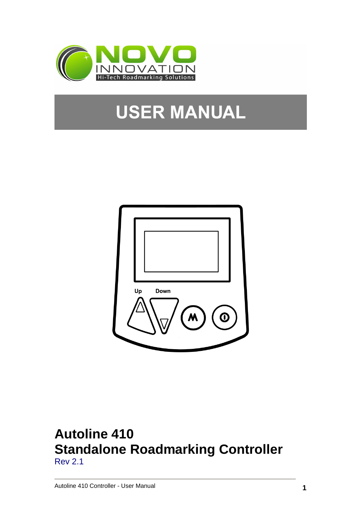

# **USER MANUAL**



# **Autoline 410 Standalone Roadmarking Controller**  Rev 2.1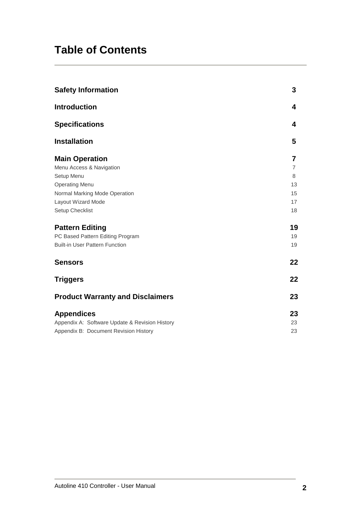# **Table of Contents**

| <b>Safety Information</b>                      | 3  |
|------------------------------------------------|----|
| <b>Introduction</b>                            | 4  |
| <b>Specifications</b>                          | 4  |
| <b>Installation</b>                            | 5  |
| <b>Main Operation</b>                          | 7  |
| Menu Access & Navigation                       | 7  |
| Setup Menu                                     | 8  |
| <b>Operating Menu</b>                          | 13 |
| Normal Marking Mode Operation                  | 15 |
| Layout Wizard Mode                             | 17 |
| Setup Checklist                                | 18 |
| <b>Pattern Editing</b>                         | 19 |
| PC Based Pattern Editing Program               | 19 |
| <b>Built-in User Pattern Function</b>          | 19 |
| <b>Sensors</b>                                 | 22 |
| <b>Triggers</b>                                | 22 |
| <b>Product Warranty and Disclaimers</b>        | 23 |
| <b>Appendices</b>                              | 23 |
| Appendix A: Software Update & Revision History | 23 |
| Appendix B: Document Revision History          | 23 |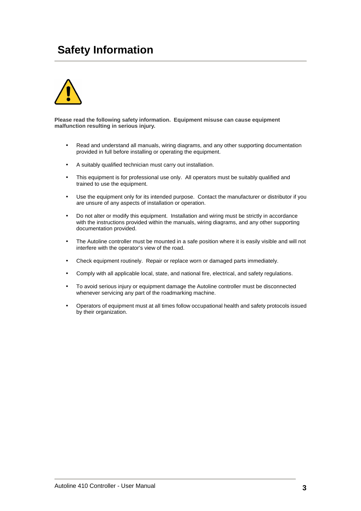# **Safety Information**



**Please read the following safety information. Equipment misuse can cause equipment malfunction resulting in serious injury.** 

- Read and understand all manuals, wiring diagrams, and any other supporting documentation provided in full before installing or operating the equipment.
- A suitably qualified technician must carry out installation.
- This equipment is for professional use only. All operators must be suitably qualified and trained to use the equipment.
- Use the equipment only for its intended purpose. Contact the manufacturer or distributor if you are unsure of any aspects of installation or operation.
- Do not alter or modify this equipment. Installation and wiring must be strictly in accordance with the instructions provided within the manuals, wiring diagrams, and any other supporting documentation provided.
- The Autoline controller must be mounted in a safe position where it is easily visible and will not interfere with the operator's view of the road.
- Check equipment routinely. Repair or replace worn or damaged parts immediately.
- Comply with all applicable local, state, and national fire, electrical, and safety regulations.
- To avoid serious injury or equipment damage the Autoline controller must be disconnected whenever servicing any part of the roadmarking machine.
- Operators of equipment must at all times follow occupational health and safety protocols issued by their organization.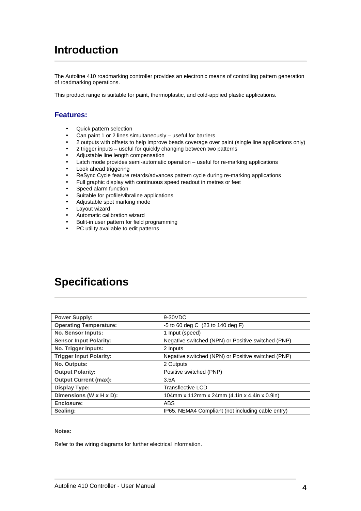# **Introduction**

The Autoline 410 roadmarking controller provides an electronic means of controlling pattern generation of roadmarking operations.

This product range is suitable for paint, thermoplastic, and cold-applied plastic applications.

### **Features:**

- Quick pattern selection
- Can paint 1 or 2 lines simultaneously useful for barriers
- 2 outputs with offsets to help improve beads coverage over paint (single line applications only)
- 2 trigger inputs useful for quickly changing between two patterns
- Adjustable line length compensation
- Latch mode provides semi-automatic operation useful for re-marking applications
- Look ahead triggering
- ReSync Cycle feature retards/advances pattern cycle during re-marking applications
- Full graphic display with continuous speed readout in metres or feet
- Speed alarm function
- Suitable for profile/vibraline applications
- Adjustable spot marking mode
- Layout wizard
- Automatic calibration wizard
- Bulit-in user pattern for field programming
- PC utility available to edit patterns

# **Specifications**

| <b>Power Supply:</b>           | 9-30VDC                                            |  |
|--------------------------------|----------------------------------------------------|--|
| <b>Operating Temperature:</b>  | $-5$ to 60 deg C $(23$ to 140 deg F)               |  |
| <b>No. Sensor Inputs:</b>      | 1 Input (speed)                                    |  |
| <b>Sensor Input Polarity:</b>  | Negative switched (NPN) or Positive switched (PNP) |  |
| No. Trigger Inputs:            | 2 Inputs                                           |  |
| <b>Trigger Input Polarity:</b> | Negative switched (NPN) or Positive switched (PNP) |  |
| No. Outputs:                   | 2 Outputs                                          |  |
| <b>Output Polarity:</b>        | Positive switched (PNP)                            |  |
| <b>Output Current (max):</b>   | 3.5A                                               |  |
| <b>Display Type:</b>           | <b>Transflective LCD</b>                           |  |
| Dimensions (W x H x D):        | 104mm x 112mm x 24mm (4.1in x 4.4in x 0.9in)       |  |
| Enclosure:                     | <b>ABS</b>                                         |  |
| Sealing:                       | IP65, NEMA4 Compliant (not including cable entry)  |  |

#### **Notes:**

Refer to the wiring diagrams for further electrical information.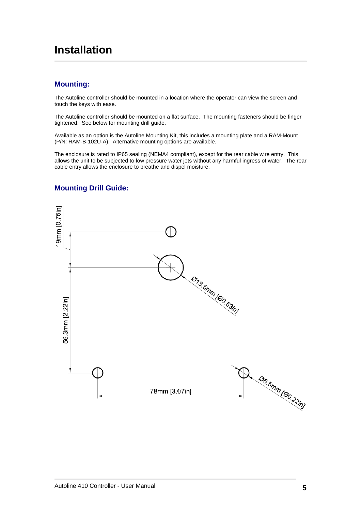# **Installation**

# **Mounting:**

The Autoline controller should be mounted in a location where the operator can view the screen and touch the keys with ease.

The Autoline controller should be mounted on a flat surface. The mounting fasteners should be finger tightened. See below for mounting drill guide.

Available as an option is the Autoline Mounting Kit, this includes a mounting plate and a RAM-Mount (P/N: RAM-B-102U-A). Alternative mounting options are available.

The enclosure is rated to IP65 sealing (NEMA4 compliant), except for the rear cable wire entry. This allows the unit to be subjected to low pressure water jets without any harmful ingress of water. The rear cable entry allows the enclosure to breathe and dispel moisture.



# **Mounting Drill Guide:**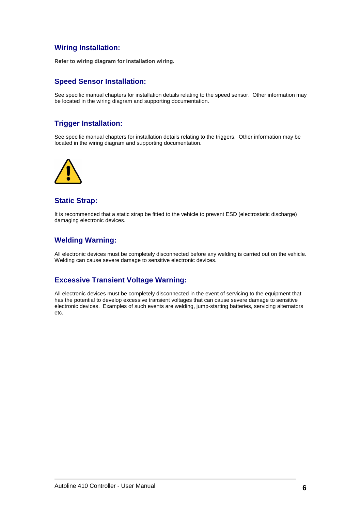# **Wiring Installation:**

**Refer to wiring diagram for installation wiring.** 

# **Speed Sensor Installation:**

See specific manual chapters for installation details relating to the speed sensor. Other information may be located in the wiring diagram and supporting documentation.

# **Trigger Installation:**

See specific manual chapters for installation details relating to the triggers. Other information may be located in the wiring diagram and supporting documentation.



### **Static Strap:**

It is recommended that a static strap be fitted to the vehicle to prevent ESD (electrostatic discharge) damaging electronic devices.

# **Welding Warning:**

All electronic devices must be completely disconnected before any welding is carried out on the vehicle. Welding can cause severe damage to sensitive electronic devices.

# **Excessive Transient Voltage Warning:**

All electronic devices must be completely disconnected in the event of servicing to the equipment that has the potential to develop excessive transient voltages that can cause severe damage to sensitive electronic devices. Examples of such events are welding, jump-starting batteries, servicing alternators etc.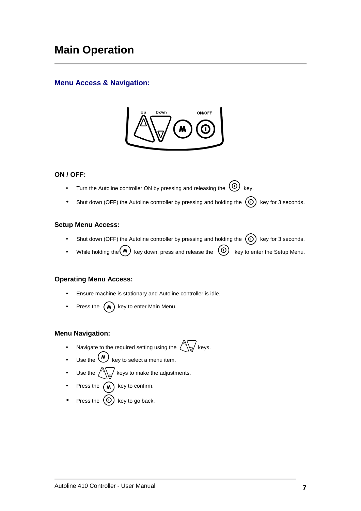# **Menu Access & Navigation:**



### **ON / OFF:**

- Turn the Autoline controller ON by pressing and releasing the  $\circled{O}$  key.
- Shut down (OFF) the Autoline controller by pressing and holding the  $(0)$  key for 3 seconds.

#### **Setup Menu Access:**

- Shut down (OFF) the Autoline controller by pressing and holding the  $\circled{0}$  key for 3 seconds.
- While holding the  $\bigcirc$  key down, press and release the  $\bigcirc$  key to enter the Setup Menu.

### **Operating Menu Access:**

- Ensure machine is stationary and Autoline controller is idle.
- Press the  $(M)$  key to enter Main Menu.

### **Menu Navigation:**

- Navigate to the required setting using the  $\bigotimes_{k=1}^{\infty}$  keys.
- Use the  $\overline{w}$  key to select a menu item.
- Use the  $\bigotimes_{\mathbb{V}}$  keys to make the adjustments.
- Press the  $(m)$  key to confirm.
- Press the  $\left(\mathbb{O}\right)$  key to go back.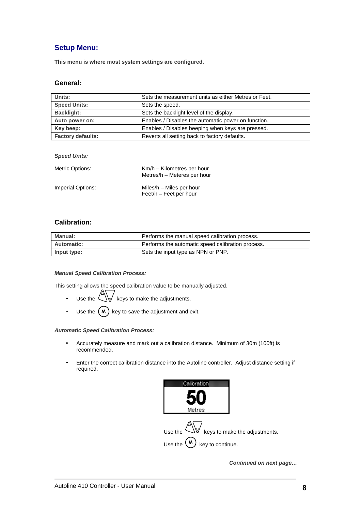# **Setup Menu:**

**This menu is where most system settings are configured.** 

#### **General:**

| Units:                   | Sets the measurement units as either Metres or Feet. |
|--------------------------|------------------------------------------------------|
| <b>Speed Units:</b>      | Sets the speed.                                      |
| <b>Backlight:</b>        | Sets the backlight level of the display.             |
| Auto power on:           | Enables / Disables the automatic power on function.  |
| Key beep:                | Enables / Disables beeping when keys are pressed.    |
| <b>Factory defaults:</b> | Reverts all setting back to factory defaults.        |

#### **Speed Units:**

| Metric Options:   | Km/h – Kilometres per hour<br>Metres/h – Meteres per hour |
|-------------------|-----------------------------------------------------------|
| Imperial Options: | Miles/h – Miles per hour<br>Feet/h - Feet per hour        |

#### **Calibration:**

| Manual:           | Performs the manual speed calibration process.    |
|-------------------|---------------------------------------------------|
| <b>Automatic:</b> | Performs the automatic speed calibration process. |
| Input type:       | Sets the input type as NPN or PNP.                |

#### **Manual Speed Calibration Process:**

This setting allows the speed calibration value to be manually adjusted.

- Use the  $\bigotimes$  keys to make the adjustments.
- Use the  $(M)$  key to save the adjustment and exit.

#### **Automatic Speed Calibration Process:**

- Accurately measure and mark out a calibration distance. Minimum of 30m (100ft) is recommended.
- Enter the correct calibration distance into the Autoline controller. Adjust distance setting if required.



**Continued on next page…**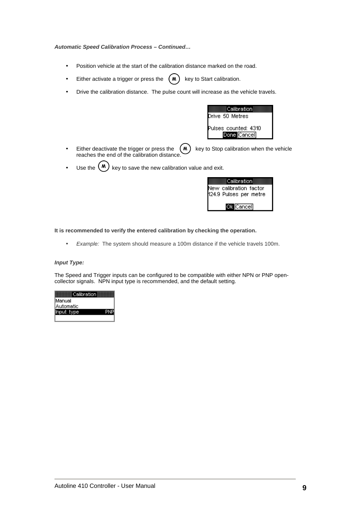#### **Automatic Speed Calibration Process – Continued…**

- Position vehicle at the start of the calibration distance marked on the road.
- Either activate a trigger or press the  $(M)$  key to Start calibration.
- Drive the calibration distance. The pulse count will increase as the vehicle travels.

| Calibration                         |
|-------------------------------------|
| Drive 50 Metres                     |
| Pulses counted: 4310<br>Done Cancel |

- Either deactivate the trigger or press the  $(M)$  key to Stop calibration when the vehicle reaches the end of the calibration distance.
- Use the  $(M)$  key to save the new calibration value and exit.

| ≣Calibration≣                                    |
|--------------------------------------------------|
| New calibration factor<br>124.9 Pulses per metre |
|                                                  |
| Ok Cancel                                        |

**It is recommended to verify the entered calibration by checking the operation.** 

• Example: The system should measure a 100m distance if the vehicle travels 100m.

#### **Input Type:**

The Speed and Trigger inputs can be configured to be compatible with either NPN or PNP opencollector signals. NPN input type is recommended, and the default setting.

| Calibration |  |
|-------------|--|
| Manual      |  |
| Automatic   |  |
|             |  |
|             |  |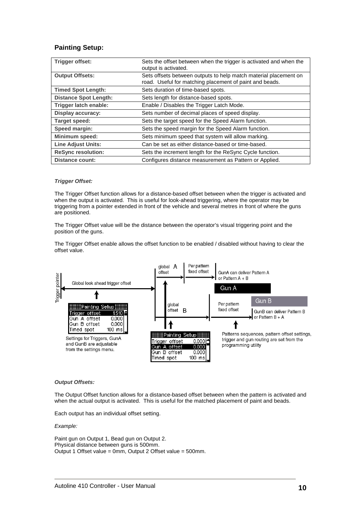### **Painting Setup:**

| Trigger offset:              | Sets the offset between when the trigger is activated and when the<br>output is activated.                                  |
|------------------------------|-----------------------------------------------------------------------------------------------------------------------------|
| <b>Output Offsets:</b>       | Sets offsets between outputs to help match material placement on<br>road. Useful for matching placement of paint and beads. |
| <b>Timed Spot Length:</b>    | Sets duration of time-based spots.                                                                                          |
| <b>Distance Spot Length:</b> | Sets length for distance-based spots.                                                                                       |
| Trigger latch enable:        | Enable / Disables the Trigger Latch Mode.                                                                                   |
| <b>Display accuracy:</b>     | Sets number of decimal places of speed display.                                                                             |
| Target speed:                | Sets the target speed for the Speed Alarm function.                                                                         |
| Speed margin:                | Sets the speed margin for the Speed Alarm function.                                                                         |
| Minimum speed:               | Sets minimum speed that system will allow marking.                                                                          |
| <b>Line Adjust Units:</b>    | Can be set as either distance-based or time-based.                                                                          |
| <b>ReSync resolution:</b>    | Sets the increment length for the ReSync Cycle function.                                                                    |
| <b>Distance count:</b>       | Configures distance measurement as Pattern or Applied.                                                                      |

#### **Trigger Offset:**

The Trigger Offset function allows for a distance-based offset between when the trigger is activated and when the output is activated. This is useful for look-ahead triggering, where the operator may be triggering from a pointer extended in front of the vehicle and several metres in front of where the guns are positioned.

The Trigger Offset value will be the distance between the operator's visual triggering point and the position of the guns.

The Trigger Offset enable allows the offset function to be enabled / disabled without having to clear the offset value.



#### **Output Offsets:**

The Output Offset function allows for a distance-based offset between when the pattern is activated and when the actual output is activated. This is useful for the matched placement of paint and beads.

Each output has an individual offset setting.

#### Example:

Paint gun on Output 1, Bead gun on Output 2. Physical distance between guns is 500mm. Output 1 Offset value = 0mm, Output 2 Offset value = 500mm.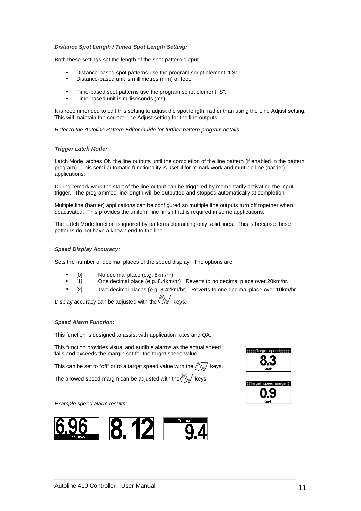#### **Distance Spot Length / Timed Spot Length Setting:**

Both these settings set the length of the spot pattern output.

- Distance-based spot patterns use the program script element "LS".
- Distance-based unit is millimetres (mm) or feet.
- Time-based spot patterns use the program script element "S".
- Time-based unit is milliseconds (ms).

It is recommended to edit this setting to adjust the spot length, rather than using the Line Adjust setting. This will maintain the correct Line Adjust setting for the line outputs.

Refer to the Autoline Pattern Editor Guide for further pattern program details.

#### **Trigger Latch Mode:**

Latch Mode latches ON the line outputs until the completion of the line pattern (if enabled in the pattern program). This semi-automatic functionality is useful for remark work and multiple line (barrier) applications.

During remark work the start of the line output can be triggered by momentarily activating the input trigger. The programmed line length will be outputted and stopped automatically at completion.

Multiple line (barrier) applications can be configured so multiple line outputs turn off together when deactivated. This provides the uniform line finish that is required in some applications.

The Latch Mode function is ignored by patterns containing only solid lines. This is because these patterns do not have a known end to the line.

#### **Speed Display Accuracy:**

Sets the number of decimal places of the speed display. The options are:

- [0]: No decimal place (e.g. 8km/hr)
- [1]: One decimal place (e.g. 8.4km/hr). Reverts to no decimal place over 20km/hr.
- [2]: Two decimal places (e.g. 8.42km/hr). Reverts to one decimal place over 10km/hr.

Display accuracy can be adjusted with the  $\bigotimes$  keys.

#### **Speed Alarm Function:**

This function is designed to assist with application rates and QA.

This function provides visual and audible alarms as the actual speed falls and exceeds the margin set for the target speed value.

This can be set to "off" or to a target speed value with the  $\leftarrow \leftarrow$  keys.

The allowed speed margin can be adjusted with the  $\left\langle \int_{\mathbb{R}^2}$  keys.

#### Example speed alarm results:





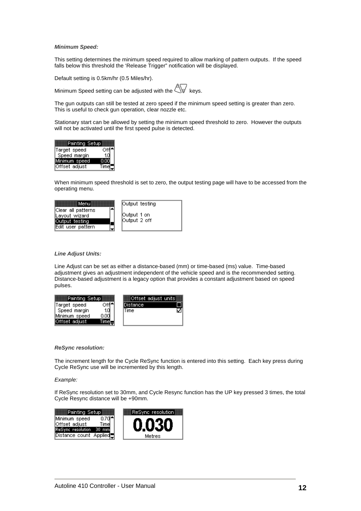#### **Minimum Speed:**

This setting determines the minimum speed required to allow marking of pattern outputs. If the speed falls below this threshold the 'Release Trigger" notification will be displayed.

Default setting is 0.5km/hr (0.5 Miles/hr).

Minimum Speed setting can be adjusted with the  $\overline{\mathbb{Q}}$  keys.

The gun outputs can still be tested at zero speed if the minimum speed setting is greater than zero. This is useful to check gun operation, clear nozzle etc.

Stationary start can be allowed by setting the minimum speed threshold to zero. However the outputs will not be activated until the first speed pulse is detected.



When minimum speed threshold is set to zero, the output testing page will have to be accessed from the operating menu.



#### **Line Adjust Units:**

Line Adjust can be set as either a distance-based (mm) or time-based (ms) value. Time-based adjustment gives an adjustment independent of the vehicle speed and is the recommended setting. Distance-based adjustment is a legacy option that provides a constant adjustment based on speed pulses.



#### **ReSync resolution:**

The increment length for the Cycle ReSync function is entered into this setting. Each key press during Cycle ReSync use will be incremented by this length.

#### Example:

If ReSync resolution set to 30mm, and Cycle Resync function has the UP key pressed 3 times, the total Cycle Resync distance will be +90mm.

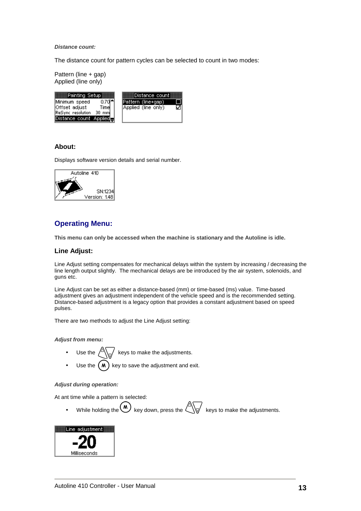**Distance count:** 

The distance count for pattern cycles can be selected to count in two modes:

Pattern (line + gap) Applied (line only)

| __Painting Setup:           | Distance_coun       |
|-----------------------------|---------------------|
| 0.70°<br>Minimum speed      | Pattern (line+qap)  |
| lOffset adjust.<br>Timel    | Applied (line only) |
| ReSync resolution<br>30 mml |                     |
| Distance count Applied      |                     |

#### **About:**

Displays software version details and serial number.



# **Operating Menu:**

**This menu can only be accessed when the machine is stationary and the Autoline is idle.** 

#### **Line Adjust:**

Line Adjust setting compensates for mechanical delays within the system by increasing / decreasing the line length output slightly. The mechanical delays are be introduced by the air system, solenoids, and guns etc.

Line Adjust can be set as either a distance-based (mm) or time-based (ms) value. Time-based adjustment gives an adjustment independent of the vehicle speed and is the recommended setting. Distance-based adjustment is a legacy option that provides a constant adjustment based on speed pulses.

There are two methods to adjust the Line Adjust setting:

**Adjust from menu:** 

- Use the  $\sqrt{\Delta}$  keys to make the adjustments.
- Use the  $(M)$  key to save the adjustment and exit.

#### **Adjust during operation:**

At ant time while a pattern is selected:

While holding the  $\binom{M}{k}$  key down, press the  $\leftarrow$  keys to make the adjustments.

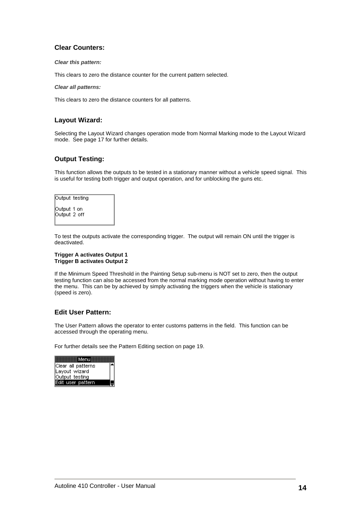### **Clear Counters:**

#### **Clear this pattern:**

This clears to zero the distance counter for the current pattern selected.

#### **Clear all patterns:**

This clears to zero the distance counters for all patterns.

#### **Layout Wizard:**

Selecting the Layout Wizard changes operation mode from Normal Marking mode to the Layout Wizard mode. See page 17 for further details.

### **Output Testing:**

This function allows the outputs to be tested in a stationary manner without a vehicle speed signal. This is useful for testing both trigger and output operation, and for unblocking the guns etc.

| Output_testing              |  |
|-----------------------------|--|
| Output 1 on<br>Output 2 off |  |

To test the outputs activate the corresponding trigger. The output will remain ON until the trigger is deactivated.

#### **Trigger A activates Output 1 Trigger B activates Output 2**

If the Minimum Speed Threshold in the Painting Setup sub-menu is NOT set to zero, then the output testing function can also be accessed from the normal marking mode operation without having to enter the menu. This can be by achieved by simply activating the triggers when the vehicle is stationary (speed is zero).

#### **Edit User Pattern:**

The User Pattern allows the operator to enter customs patterns in the field. This function can be accessed through the operating menu.

For further details see the Pattern Editing section on page 19.

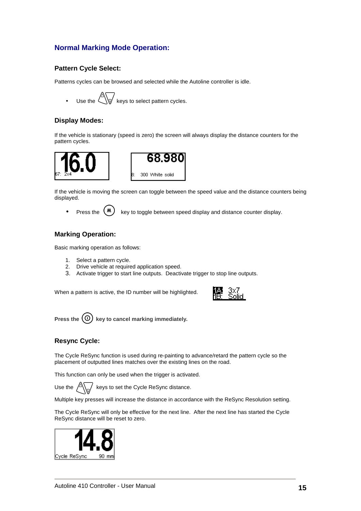# **Normal Marking Mode Operation:**

### **Pattern Cycle Select:**

Patterns cycles can be browsed and selected while the Autoline controller is idle.

Use the  $\triangle$  keys to select pattern cycles.

#### **Display Modes:**

If the vehicle is stationary (speed is zero) the screen will always display the distance counters for the pattern cycles.





If the vehicle is moving the screen can toggle between the speed value and the distance counters being displayed.

Press the  $(M)$  key to toggle between speed display and distance counter display.

#### **Marking Operation:**

Basic marking operation as follows:

- 1. Select a pattern cycle.
- 2. Drive vehicle at required application speed.
- 3. Activate trigger to start line outputs. Deactivate trigger to stop line outputs.

When a pattern is active, the ID number will be highlighted.



Press the  $\left(\overline{0}\right)$  key to cancel marking immediately.

#### **Resync Cycle:**

The Cycle ReSync function is used during re-painting to advance/retard the pattern cycle so the placement of outputted lines matches over the existing lines on the road.

This function can only be used when the trigger is activated.

Use the  $\sqrt{2\pi}$  keys to set the Cycle ReSync distance.

Multiple key presses will increase the distance in accordance with the ReSync Resolution setting.

The Cycle ReSync will only be effective for the next line. After the next line has started the Cycle ReSync distance will be reset to zero.

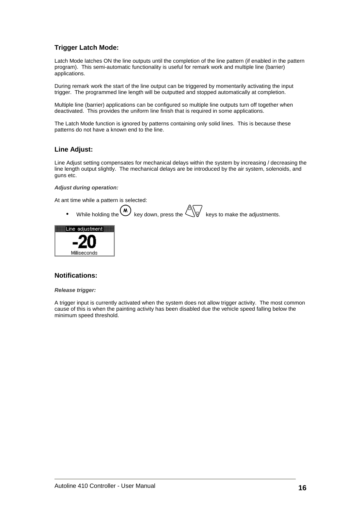# **Trigger Latch Mode:**

Latch Mode latches ON the line outputs until the completion of the line pattern (if enabled in the pattern program). This semi-automatic functionality is useful for remark work and multiple line (barrier) applications.

During remark work the start of the line output can be triggered by momentarily activating the input trigger. The programmed line length will be outputted and stopped automatically at completion.

Multiple line (barrier) applications can be configured so multiple line outputs turn off together when deactivated. This provides the uniform line finish that is required in some applications.

The Latch Mode function is ignored by patterns containing only solid lines. This is because these patterns do not have a known end to the line.

#### **Line Adjust:**

Line Adjust setting compensates for mechanical delays within the system by increasing / decreasing the line length output slightly. The mechanical delays are be introduced by the air system, solenoids, and guns etc.

#### **Adjust during operation:**

At ant time while a pattern is selected:

While holding the  $\binom{M}{k}$  key down, press the  $\leftarrow$  keys to make the adjustments.



#### **Notifications:**

#### **Release trigger:**

A trigger input is currently activated when the system does not allow trigger activity. The most common cause of this is when the painting activity has been disabled due the vehicle speed falling below the minimum speed threshold.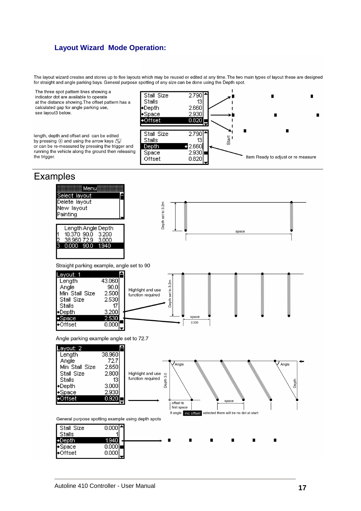# **Layout Wizard Mode Operation:**

The layout wizard creates and stores up to five layouts which may be reused or edited at any time. The two main types of layout these are designed for straight and angle parking bays. General purpose spotting of any size can be done using the Depth spot.

The three spot pattern lines showing a indicator dot are available to operate at the distance showing. The offset pattern has a calculated gap for angle parking use, see layout3 below.

length, depth and offset and can be edited by pressing  $\circledast$  and using the arrow keys  $\circledast$ or can be re-measured by pressing the trigger and running the vehicle along the ground then releasing the trigger.



# **Examples**

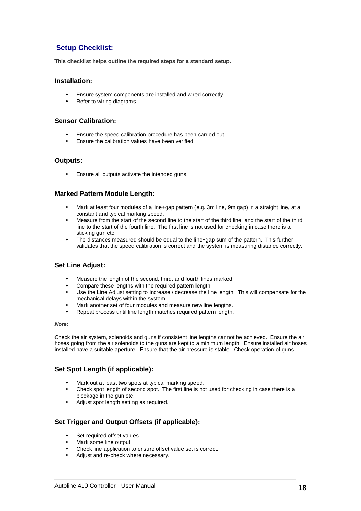# **Setup Checklist:**

**This checklist helps outline the required steps for a standard setup.** 

#### **Installation:**

- Ensure system components are installed and wired correctly.
- Refer to wiring diagrams.

#### **Sensor Calibration:**

- Ensure the speed calibration procedure has been carried out.
- Ensure the calibration values have been verified.

#### **Outputs:**

• Ensure all outputs activate the intended guns.

#### **Marked Pattern Module Length:**

- Mark at least four modules of a line+gap pattern (e.g. 3m line, 9m gap) in a straight line, at a constant and typical marking speed.
- Measure from the start of the second line to the start of the third line, and the start of the third line to the start of the fourth line. The first line is not used for checking in case there is a sticking gun etc.
- The distances measured should be equal to the line+gap sum of the pattern. This further validates that the speed calibration is correct and the system is measuring distance correctly.

#### **Set Line Adjust:**

- Measure the length of the second, third, and fourth lines marked.
- Compare these lengths with the required pattern length.
- Use the Line Adjust setting to increase / decrease the line length. This will compensate for the mechanical delays within the system.
- Mark another set of four modules and measure new line lengths.
- Repeat process until line length matches required pattern length.

#### **Note:**

Check the air system, solenoids and guns if consistent line lengths cannot be achieved. Ensure the air hoses going from the air solenoids to the guns are kept to a minimum length. Ensure installed air hoses installed have a suitable aperture. Ensure that the air pressure is stable. Check operation of guns.

#### **Set Spot Length (if applicable):**

- Mark out at least two spots at typical marking speed.
- Check spot length of second spot. The first line is not used for checking in case there is a blockage in the gun etc.
- Adjust spot length setting as required.

#### **Set Trigger and Output Offsets (if applicable):**

- Set required offset values.
- Mark some line output.
- Check line application to ensure offset value set is correct.
- Adjust and re-check where necessary.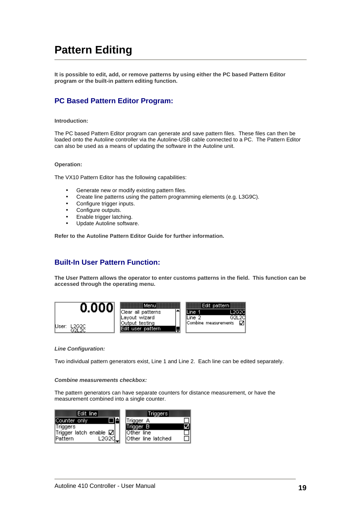# **Pattern Editing**

**It is possible to edit, add, or remove patterns by using either the PC based Pattern Editor program or the built-in pattern editing function.** 

# **PC Based Pattern Editor Program:**

#### **Introduction:**

The PC based Pattern Editor program can generate and save pattern files. These files can then be loaded onto the Autoline controller via the Autoline-USB cable connected to a PC. The Pattern Editor can also be used as a means of updating the software in the Autoline unit.

#### **Operation:**

The VX10 Pattern Editor has the following capabilities:

- Generate new or modify existing pattern files.
- Create line patterns using the pattern programming elements (e.g. L3G9C).
- Configure trigger inputs.
- Configure outputs.
- Enable trigger latching.
- Update Autoline software.

**Refer to the Autoline Pattern Editor Guide for further information.** 

# **Built-In User Pattern Function:**

**The User Pattern allows the operator to enter customs patterns in the field. This function can be accessed through the operating menu.** 



#### **Line Configuration:**

Two individual pattern generators exist, Line 1 and Line 2. Each line can be edited separately.

#### **Combine measurements checkbox:**

The pattern generators can have separate counters for distance measurement, or have the measurement combined into a single counter.

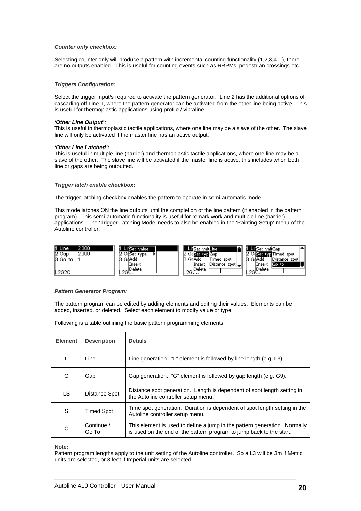#### **Counter only checkbox:**

Selecting counter only will produce a pattern with incremental counting functionality (1,2,3,4...), there are no outputs enabled. This is useful for counting events such as RRPMs, pedestrian crossings etc.

#### **Triggers Configuration:**

Select the trigger input/s required to activate the pattern generator. Line 2 has the additional options of cascading off Line 1, where the pattern generator can be activated from the other line being active. This is useful for thermoplastic applications using profile / vibraline.

#### **'Other Line Output':**

This is useful in thermoplastic tactile applications, where one line may be a slave of the other. The slave line will only be activated if the master line has an active output.

#### **'Other Line Latched':**

This is useful in multiple line (barrier) and thermoplastic tactile applications, where one line may be a slave of the other. The slave line will be activated if the master line is active, this includes when both line or gaps are being outputted.

#### **Trigger latch enable checkbox:**

The trigger latching checkbox enables the pattern to operate in semi-automatic mode.

This mode latches ON the line outputs until the completion of the line pattern (if enabled in the pattern program). This semi-automatic functionality is useful for remark work and multiple line (barrier) applications. The 'Trigger Latching Mode' needs to also be enabled in the 'Painting Setup' menu of the Autoline controller.

| 2.000<br>l1 Line | и<br>Lili Set<br>value | n<br><b>Lif</b> Set val <b>lIng</b>      | -IIISet<br>-valiGap    |
|------------------|------------------------|------------------------------------------|------------------------|
| 2 Gap<br>2.000   | GalSet<br>type         | two Gao                                  | two Timed<br>-spot     |
| 13 Gol<br>to     | IS GdAdd               | 'Timed<br>13 GdAdd<br>spot               | Distance spot<br>GdAdd |
|                  | Insert                 | . √  Distance_spot           <br>,Insert | lGoto.<br>(Inser)      |
| L2G2C            | Delete                 | Delete<br>and the fact of                | Delete<br>oo.          |

#### **Pattern Generator Program:**

The pattern program can be edited by adding elements and editing their values. Elements can be added, inserted, or deleted. Select each element to modify value or type.

Following is a table outlining the basic pattern programming elements.

| <b>Element</b> | <b>Description</b>  | <b>Details</b>                                                                                                                                    |
|----------------|---------------------|---------------------------------------------------------------------------------------------------------------------------------------------------|
| L              | Line                | Line generation. "L" element is followed by line length (e.g. L3).                                                                                |
| G              | Gap                 | Gap generation. "G" element is followed by gap length (e.g. G9).                                                                                  |
| LS.            | Distance Spot       | Distance spot generation. Length is dependent of spot length setting in<br>the Autoline controller setup menu.                                    |
| S              | <b>Timed Spot</b>   | Time spot generation. Duration is dependent of spot length setting in the<br>Autoline controller setup menu.                                      |
| C              | Continue /<br>Go To | This element is used to define a jump in the pattern generation. Normally<br>is used on the end of the pattern program to jump back to the start. |

**Note:** 

Pattern program lengths apply to the unit setting of the Autoline controller. So a L3 will be 3m if Metric units are selected, or 3 feet if Imperial units are selected.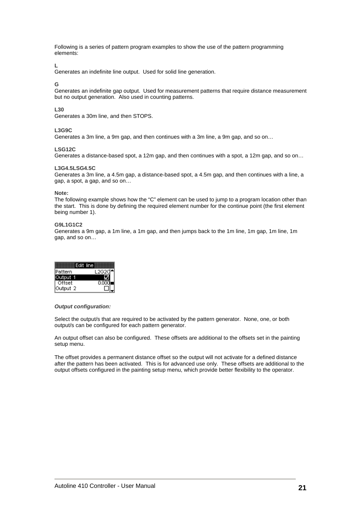Following is a series of pattern program examples to show the use of the pattern programming elements:

#### **L**

Generates an indefinite line output. Used for solid line generation.

#### **G**

Generates an indefinite gap output. Used for measurement patterns that require distance measurement but no output generation. Also used in counting patterns.

#### **L30**

Generates a 30m line, and then STOPS.

#### **L3G9C**

Generates a 3m line, a 9m gap, and then continues with a 3m line, a 9m gap, and so on…

#### **LSG12C**

Generates a distance-based spot, a 12m gap, and then continues with a spot, a 12m gap, and so on…

#### **L3G4.5LSG4.5C**

Generates a 3m line, a 4.5m gap, a distance-based spot, a 4.5m gap, and then continues with a line, a gap, a spot, a gap, and so on…

#### **Note:**

The following example shows how the "C" element can be used to jump to a program location other than the start. This is done by defining the required element number for the continue point (the first element being number 1).

#### **G9L1G1C2**

Generates a 9m gap, a 1m line, a 1m gap, and then jumps back to the 1m line, 1m gap, 1m line, 1m gap, and so on…

| Edit line |  |
|-----------|--|
| Pattern   |  |
| utput 1   |  |
| Offset    |  |
| Output 2  |  |

#### **Output configuration:**

Select the output/s that are required to be activated by the pattern generator. None, one, or both output/s can be configured for each pattern generator.

An output offset can also be configured. These offsets are additional to the offsets set in the painting setup menu.

The offset provides a permanent distance offset so the output will not activate for a defined distance after the pattern has been activated. This is for advanced use only. These offsets are additional to the output offsets configured in the painting setup menu, which provide better flexibility to the operator.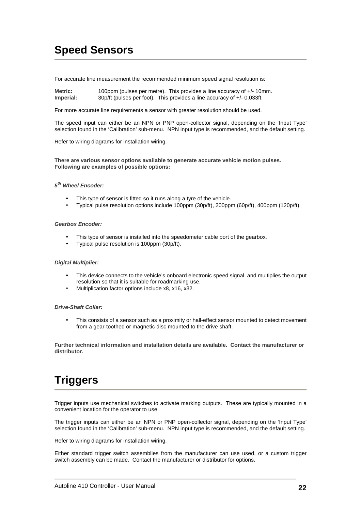# **Speed Sensors**

For accurate line measurement the recommended minimum speed signal resolution is:

**Metric:** 100ppm (pulses per metre). This provides a line accuracy of +/- 10mm. **Imperial:** 30p/ft (pulses per foot). This provides a line accuracy of +/- 0.033ft.

For more accurate line requirements a sensor with greater resolution should be used.

The speed input can either be an NPN or PNP open-collector signal, depending on the 'Input Type' selection found in the 'Calibration' sub-menu. NPN input type is recommended, and the default setting.

Refer to wiring diagrams for installation wiring.

**There are various sensor options available to generate accurate vehicle motion pulses. Following are examples of possible options:** 

#### **5 th Wheel Encoder:**

- This type of sensor is fitted so it runs along a tyre of the vehicle.
- Typical pulse resolution options include 100ppm (30p/ft), 200ppm (60p/ft), 400ppm (120p/ft).

#### **Gearbox Encoder:**

- This type of sensor is installed into the speedometer cable port of the gearbox.
- Typical pulse resolution is 100ppm (30p/ft).

#### **Digital Multiplier:**

- This device connects to the vehicle's onboard electronic speed signal, and multiplies the output resolution so that it is suitable for roadmarking use.
- Multiplication factor options include x8, x16, x32.

#### **Drive-Shaft Collar:**

• This consists of a sensor such as a proximity or hall-effect sensor mounted to detect movement from a gear-toothed or magnetic disc mounted to the drive shaft.

**Further technical information and installation details are available. Contact the manufacturer or distributor.**

# **Triggers**

Trigger inputs use mechanical switches to activate marking outputs. These are typically mounted in a convenient location for the operator to use.

The trigger inputs can either be an NPN or PNP open-collector signal, depending on the 'Input Type' selection found in the 'Calibration' sub-menu. NPN input type is recommended, and the default setting.

Refer to wiring diagrams for installation wiring.

Either standard trigger switch assemblies from the manufacturer can use used, or a custom trigger switch assembly can be made. Contact the manufacturer or distributor for options.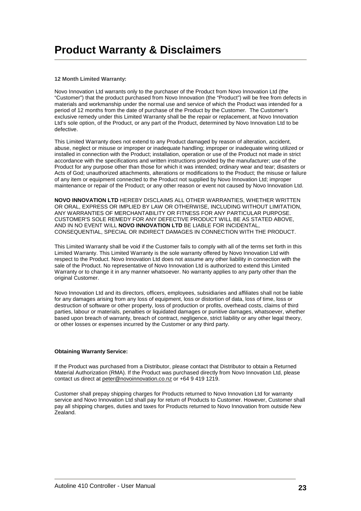#### **12 Month Limited Warranty:**

Novo Innovation Ltd warrants only to the purchaser of the Product from Novo Innovation Ltd (the "Customer") that the product purchased from Novo Innovation (the "Product") will be free from defects in materials and workmanship under the normal use and service of which the Product was intended for a period of 12 months from the date of purchase of the Product by the Customer. The Customer's exclusive remedy under this Limited Warranty shall be the repair or replacement, at Novo Innovation Ltd's sole option, of the Product, or any part of the Product, determined by Novo Innovation Ltd to be defective.

This Limited Warranty does not extend to any Product damaged by reason of alteration, accident, abuse, neglect or misuse or improper or inadequate handling; improper or inadequate wiring utilized or installed in connection with the Product; installation, operation or use of the Product not made in strict accordance with the specifications and written instructions provided by the manufacturer; use of the Product for any purpose other than those for which it was intended; ordinary wear and tear; disasters or Acts of God; unauthorized attachments, alterations or modifications to the Product; the misuse or failure of any item or equipment connected to the Product not supplied by Novo Innovation Ltd; improper maintenance or repair of the Product; or any other reason or event not caused by Novo Innovation Ltd.

**NOVO INNOVATION LTD** HEREBY DISCLAIMS ALL OTHER WARRANTIES, WHETHER WRITTEN OR ORAL, EXPRESS OR IMPLIED BY LAW OR OTHERWISE, INCLUDING WITHOUT LIMITATION, ANY WARRANTIES OF MERCHANTABILITY OR FITNESS FOR ANY PARTICULAR PURPOSE. CUSTOMER'S SOLE REMEDY FOR ANY DEFECTIVE PRODUCT WILL BE AS STATED ABOVE, AND IN NO EVENT WILL **NOVO INNOVATION LTD** BE LIABLE FOR INCIDENTAL, CONSEQUENTIAL, SPECIAL OR INDIRECT DAMAGES IN CONNECTION WITH THE PRODUCT.

This Limited Warranty shall be void if the Customer fails to comply with all of the terms set forth in this Limited Warranty. This Limited Warranty is the sole warranty offered by Novo Innovation Ltd with respect to the Product. Novo Innovation Ltd does not assume any other liability in connection with the sale of the Product. No representative of Novo Innovation Ltd is authorized to extend this Limited Warranty or to change it in any manner whatsoever. No warranty applies to any party other than the original Customer.

Novo Innovation Ltd and its directors, officers, employees, subsidiaries and affiliates shall not be liable for any damages arising from any loss of equipment, loss or distortion of data, loss of time, loss or destruction of software or other property, loss of production or profits, overhead costs, claims of third parties, labour or materials, penalties or liquidated damages or punitive damages, whatsoever, whether based upon breach of warranty, breach of contract, negligence, strict liability or any other legal theory, or other losses or expenses incurred by the Customer or any third party.

#### **Obtaining Warranty Service:**

If the Product was purchased from a Distributor, please contact that Distributor to obtain a Returned Material Authorization (RMA). If the Product was purchased directly from Novo Innovation Ltd, please contact us direct at peter@novoinnovation.co.nz or +64 9 419 1219.

Customer shall prepay shipping charges for Products returned to Novo Innovation Ltd for warranty service and Novo Innovation Ltd shall pay for return of Products to Customer. However, Customer shall pay all shipping charges, duties and taxes for Products returned to Novo Innovation from outside New Zealand.